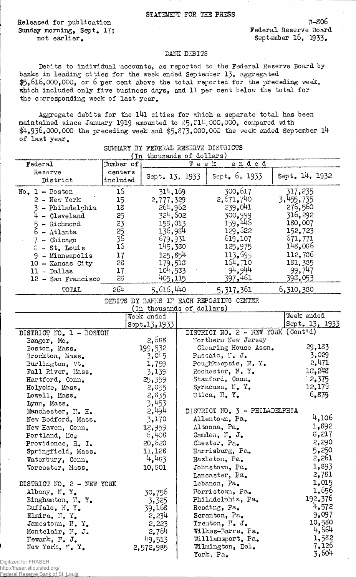Released for publication Sunday morning, Sept. 17; not earlier.

3-806 Federal Reserve Board September 16, 1933.

## 3AHK D3BITS

Debits to individual accounts, as reported to the Federal Reserve Board by banks in leading cities for the week ended September 13, aggregated  $$5,616,000,000$ , or 6 per cent above the total reported for the preceding week, which included only five business days, and 11 per cent below the total for the corresponding week of last year.

Aggregate debits for the 141 cities for which a separate total has been maintained since January 1919 amounted to  $5,21^{\text{h}}$ ,000,000, compared with  $\frac{11.936,000,000}{14}$  the preceding week and \$5,873,000,000 the week ended September 14 of last year.

|                           | ( 1n      | thousands of dollars)     |      |                                          |                     |
|---------------------------|-----------|---------------------------|------|------------------------------------------|---------------------|
| Federal                   | Mumber of |                           | Week | ended                                    |                     |
| Reserve                   | centers   |                           |      |                                          | Sept. 14, 1932      |
| District                  | included  | Sept. 13, 1933            |      | Sept. $6, 1933$                          |                     |
|                           |           |                           |      |                                          |                     |
| $No. 1 - Boston$          | 16        | 314,169                   |      | 300,617                                  | 317,235             |
| $2$ - New York            | 15        | 2,777,329                 |      | 2,671,740                                | 3,455,735           |
| - Philadelphia            | 18        | 264,962                   |      | 239,041                                  | 276,560             |
| $4 - C1$ eveland          | 25        | 324,602                   |      | 300,999                                  | 316,292             |
| - Richmond<br>5           | 23        | 155,013                   |      | 159,445                                  | 180,007             |
| $6 - \text{Atlanta}$      |           | 136,984                   |      | 129,622                                  | 152,723             |
| 7 - Chicago               | 25<br>39  | 679,931                   |      | 619,107                                  | 671,771             |
| $S - St$ . Louis          | 15        | 145,330                   |      | 125,975                                  | 148,086             |
|                           |           |                           |      | 113,599                                  | 112,786             |
| 9 - Minneapolis           | 17        | 125,854                   |      | 164,710                                  |                     |
| 10 - Kansas City          | 28        | 179,513                   |      |                                          | 181, 385            |
| 11 - Dallas               | 17        | 104,533                   |      | 94,944                                   | 99,7 <sup>4</sup> 7 |
| 12 - San Francisco        | 25        | 405,115                   |      | 397,461                                  | 398,053             |
| TOTAL                     | 264       | 5,616,440                 |      | 5,317,361                                | 6,310,380           |
|                           |           |                           |      | DEBITS BY BANKS IN EACH REPORTING CENTER |                     |
|                           |           | (In thousands of dollars) |      |                                          |                     |
|                           |           | Week ended                |      |                                          | Week ended          |
|                           |           | Sept.13,1933              |      |                                          | Sept. 13, 1933      |
| DISTRICT NO. 1 - BOSTON   |           |                           |      | DISTRICT NO. 2 - NEW YORK (Cont'd)       |                     |
| Bangor, Me.               |           | 2,688                     |      | Northern New Jersey                      |                     |
| Boston, Mass.             |           | 199,532                   |      | Clearing House Assn.                     | 29,183              |
| Brockton, Mass.           |           | 3,015                     |      | Passaic, N. J.                           | 3,029               |
| Burlington, Vt.           |           | 1,759                     |      | Poughkeepsie, N.Y.                       | 2,471               |
| Fall River, Mass.         |           | 3,139                     |      | Rochester, N.Y.                          | 13,248              |
| Hartford, Conn.           |           | 25,359                    |      | Stamford, Conn.                          | 2,375               |
| Holyoke, Mass.            |           | 2,055                     |      | Syracuse, N. Y.                          | 12,175              |
|                           |           |                           |      | Utica, N.Y.                              | 5,879               |
| Lowell, Mass.             |           | 2,835                     |      |                                          |                     |
| Lynn, Mass.               |           | 3,453                     |      |                                          |                     |
| Manchester, N. H.         |           | 2,494                     |      | DISTRICT NO. 3 - PHILADELPHIA            |                     |
| New Bedford, Mass.        |           | 3,170                     |      | Allentown, Pa.                           | 4,106               |
| New Haven, Conn.          |           | 12,959                    |      | Altoona, Pa.                             | 1,892               |
| Portland, Mo.             |           | 6,408                     |      | Camden, N. J.                            | 8,217               |
| Providence, R. I.         |           | 20,620                    |      | Chester, Pa.                             | 2,290               |
| Springfield, Mass.        |           | 11,128                    |      | Harrisburg, Pa.                          | 5,250               |
| Waterbury, Conn.          |           | 4,483                     |      | Hazleton, Pa.                            | 2,261               |
| Worcester, Mass.          |           | 10,801                    |      | Johnstown, Pa.                           | 1,893               |
|                           |           |                           |      | Lancaster, Pa.                           | 2,781               |
|                           |           |                           |      |                                          | 1,015               |
| DISTRICT NO. 2 - NEW YORK |           |                           |      | Lebanon, Pa.                             |                     |
| Albany, N.Y.              |           | 30,756                    |      | Norristown, Pa.                          | 1,656               |
| Binghamton, N.Y.          |           | 3,325                     |      | Philadelphia, Pa.                        | 192,376             |
| Buffalo, N.Y.             |           | 39,168                    |      | Reading, Pa.                             | 4,572               |
| Elmira, N.Y.              |           | 2,234                     |      | Scranton, Pa.                            | 9,097               |
| Jamestown, N.Y.           |           | 2,223                     |      | Trenton, N. J.                           | 10,580              |
| Montclair, N. J.          |           | 2,764                     |      | Wilkes-Barre, Pa.                        | 4,664               |
| Newark, N. J.             |           | 49,513                    |      | Williamsport, Pa.                        | 1,582               |
| New York, N.Y.            |           | 2,572,985                 |      | Wilmington, Del.                         | 7,126               |
|                           |           |                           |      | York, Pa.                                | 3,604               |
| ed for FRASER             |           |                           |      |                                          |                     |

## SUMMARY BY FEDERAL RESERVE DISTRICTS

Digitized for F http://fraser.stlouisfed.org/

Federal Reserve Bank of St. Louis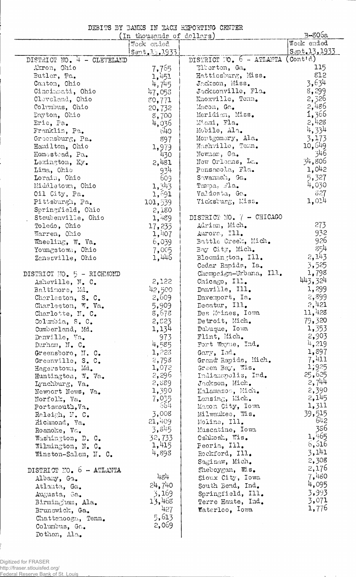DEBITS BY BANKS IN EACH REPORTING CENTER

|                            | (In thousands of dollars) |                          | B-806a        |
|----------------------------|---------------------------|--------------------------|---------------|
|                            | Wock ended                |                          | Week ended    |
|                            | Sent, 1.3, 1.933          |                          | Sept.13, 1933 |
| DISTRICT NO. 4 - CLEVELAND |                           | DISTRICT NO. 6 - ATLANTA | (Conttd)      |
| Akron, Ohio                | 7,765                     | Elberton, Ga.            | 115           |
| Butler, Pa.                | 1,451                     | Hattiesburg, Miss.       | 812           |
| Canton, Ohio               | 4,745                     | Jackson, Miss.           | 3,634         |
| Cincimati, Ohio            | 47,058                    | Jacksonville, Fla.       | 8,299         |
| Cleveland, Ohio            | 80,771                    | Knoxville, Tenn.         | 2,326         |
| Columbus, Ohio             | 20,732                    | Macon, Ga.               | 2,486         |
| Dayton, Ohio               | 8,700                     | Meridian, Miss.          | 1,366         |
| Erie, Pa.                  | 4,036                     | Mismi, Fla.              | 2,428         |
| Franklin, Pa.              | 640                       | Mobile, Ala.             | 4,334         |
| Greensburg, Pa.            | 897                       | Montgomery, Ala.         | 3,173         |
| Hamilton, Ohio             | 1,979                     | Nashville, Tonn.         | 10,649        |
| Homestead, Pa.             | 430                       | Newnan, Ga.              | 346           |
| Lexington, Ky.             | 2,481                     | New Orleans, La.         | 34,806        |
| Lima, Ohio                 | 934                       | Pensacola, Fla.          | 1,042         |
| Lorain, Ohio               | 609                       | Savannah, Ga.            | 5,327         |
| Middletown, Ohio           | 1,343                     | Tamoa, Jla.              | 4,030         |
| Oil City, Pa.              | 1,691                     | Valdosta, Ga.            | 827           |
| Pittsburgh, Pa.            | 101,539                   | Vicksburg, Miss.         | 1,014         |
| Springfield, Ohio          | 2,180                     |                          |               |
| Steubenville, Ohio         | 1,489                     | DISTRICT NO. 7 - CHICAGO |               |
| Toledo, Ohio               | 17,235                    | Adrian, Mich.            | 273           |
| Warren, Ohio               | 1,407                     | Aurora, Ill.             | 932           |
| Wheeling, W. Va.           | 6,039                     | Battle Creek, Mich.      | 926           |
| Youngstown, Ohio           | 7,005                     | Bay City, Mich.          | 854           |
| Zanesville, Ohio           | 1,446                     | Bloomington, Ill.        | 2,143         |
|                            |                           | Cedar Rapids, Ia.        | 3,525         |
| DISTRICT NO. 5 - RICHMOND  |                           | Chompaign-Urbana, Ill.   | 1,798         |
| Asheville, N. C.           | 2,122                     | Chicago, Ill.            | 443,324       |
| Baltimore, Md.             | 42,500                    | Danville, Ill.           | 1,299         |
| Charleston, S. C.          | 2,609                     | Davenport, Ia.           | 2,899         |
| Charleston, W. Va.         | 5,909                     | Decatur, Ill.            | 2,121         |
| Charlotte, N. C.           | 8,678                     | Des Moines, Iowa         | 11,428        |
| Columbia, S. C.            | 2,823                     | Detroit, Mich.           | 79,320        |
| Cumberland, Md.            | 1,134                     | Dubuque, Iowa            | 1,353         |
| Danville, Va.              | 973                       | Flint, Mich.             | 2,903         |
| Durham, N. C.              | 4,585                     | Fort Wayne, Ind.         | 4,219         |
| Greensboro, N. C.          | 1,223                     | Gary, Ind.               | 1,897         |
| Greenville, S. C.          | 2,793                     | Grand Rapids, Mich.      | 7,411         |
| Hagerstown, Md.            | 1,072                     | Green Bay, Wis.          | 1,925         |
| Huntington, W. Va.         | 2,296                     | Indianopolis, Ind.       | 25,625        |
| Lynchburg, Va.             | 2,889                     | Jackson, Mich.           | 2,744         |
| Newport News, Va.          | 1,390                     | Kalamazoo, Mich.         | 2,390         |
| Norfolk, Va.               | $7.035$<br>664            | Lansing, Mich.           | 2,145         |
| Portsmouth, Va.            |                           | Macon City, Iowa         | 1,311         |
| Raleigh, N. C.             | 3,008                     | Milwaukee, Wis.          | 39,515        |
| Richmond, Va.              | 21,409                    | Moline, Ill.             | 642           |
| Roanoke, Va.               | 3,845                     | Muscatine, Iowa          | 386           |
| Washington, D. C.          | 32,733                    | Oshkosh, Wis.            | 1,465         |
| Wilmington, N. C.          | 1,415                     | Peoria, Ill.             | 6,516         |
| Winston-Salem, N. C.       | 4,898                     | Rockford, Ill.           | 3,141         |
|                            |                           | Saginaw, Mich.           | 2,308         |
| DISTRICT NO. 6 - ATLANTA   |                           | Sheboygan, Wis.          | 2,176         |
| Albany, Ga.                | 484                       | Sioux City, Iowa         | 7,480         |
| Atlanta, Ga.               | 24,740                    | South Bend, Ind.         | 4,095         |
| Augusta, Ga.               | 3,169                     | Springfield, Ill.        | 3,993         |
| Birmingham, Ala.           | 13,468                    | Terre Haute, Ind.        | 3,071         |
| Brunswick, Ga.             | 427                       | Waterloo, Iowa           | 1,776         |
| Chattenooga, Tenn.         | 5,613                     |                          |               |
| Columbus, Ga.              | 2,069                     |                          |               |

 $\overline{\phantom{a}}$  $\int_{1}^{2}$  Dothan, Ala.